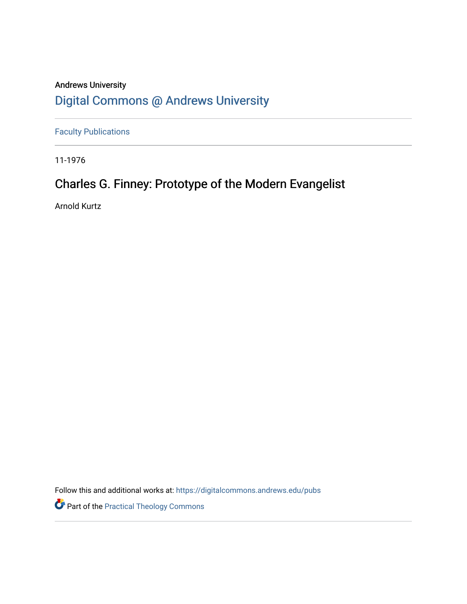## Andrews University [Digital Commons @ Andrews University](https://digitalcommons.andrews.edu/)

[Faculty Publications](https://digitalcommons.andrews.edu/pubs)

11-1976

# Charles G. Finney: Prototype of the Modern Evangelist

Arnold Kurtz

Follow this and additional works at: [https://digitalcommons.andrews.edu/pubs](https://digitalcommons.andrews.edu/pubs?utm_source=digitalcommons.andrews.edu%2Fpubs%2F3696&utm_medium=PDF&utm_campaign=PDFCoverPages) 

Part of the [Practical Theology Commons](http://network.bepress.com/hgg/discipline/1186?utm_source=digitalcommons.andrews.edu%2Fpubs%2F3696&utm_medium=PDF&utm_campaign=PDFCoverPages)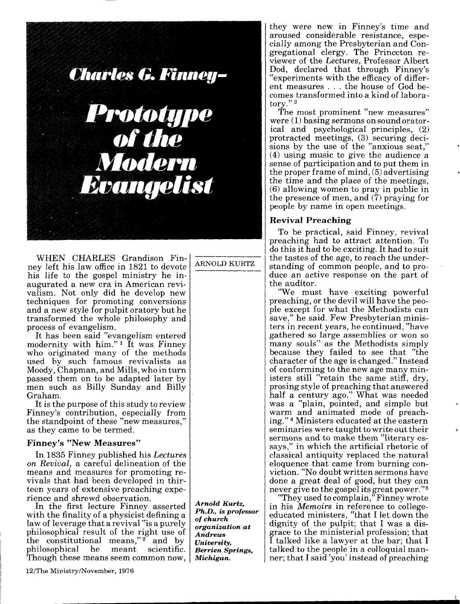

WHEN CHARLES Grandison Finney left his law office in 1821 to devote his life to the gospel ministry he inaugurated a new era in American revivalism. Not only did he develop new techniques for promoting conversions<br>and a new style for pulpit oratory but he transformed the whole philosophy and process of evangelism.

It has been said "evangelism entered modernity with him."<sup>1</sup> It was Finney who originated many of the methods used by such famous revivalists as Moody, Chapman, and Mills, who in turn passed them on to be adapted later by men such as Billy Sunday and Billy Graham

It is the purpose of this study to review Finney's contribution, especially from the standpoint of these "new measures," as they came to be termed.

#### **Finney's "New Measures"**

In 1835 Finney published his Lectures on Revival, a careful delineation of the means and measures for promoting revivals that had been developed in thirteen years of extensive preaching experience and shrewd observation.

In the first lecture Finney asserted with the finality of a physicist defining a law of leverage that a revival "is a purely philosophical result of the right use of<br>the constitutional means,"<sup>2</sup> and by philosophical he meant scientific. Though these means seem common now,

12/The Ministry/November, 1976

ARNOLD KURTZ

Arnold Kurtz. Ph.D., is professor of church organization at Andrews University. **Berrien Springs.** Michigan.

they were new in Finney's time and aroused considerable resistance, especially among the Presbyterian and Congregational clergy. The Princeton reviewer of the Lectures. Professor Albert Dod, declared that through Finney's experiments with the efficacy of different measures ... the house of God becomes transformed into a kind of laboratory."<sup>3</sup>

The most prominent "new measures" were  $(1)$  basing sermons on sound oratorical and psychological principles, (2) protracted meetings, (3) securing decisions by the use of the "anxious seat,"  $(4)$  using music to give the audience a sense of participation and to put them in the proper frame of mind, (5) advertising the time and the place of the meetings.  $(6)$  allowing women to pray in public in the presence of men, and  $(7)$  praying for people by name in open meetings.

### **Revival Preaching**

To be practical, said Finney, revival preaching had to attract attention. To do this it had to be exciting. It had to suit the tastes of the age, to reach the understanding of common people, and to produce an active response on the part of the auditor.

"We must have exciting powerful preaching, or the devil will have the people except for what the Methodists can save," he said. Few Presbyterian ministers in recent years, he continued, "have gathered so large assemblies or won so many souls" as the Methodists simply because they failed to see that "the character of the age is changed." Instead of conforming to the new age many ministers still "retain the same stiff, dry, prosing style of preaching that answered half a century ago." What was needed was a "plain, pointed, and simple but warm and animated mode of preaching."<sup>4</sup> Ministers educated at the eastern seminaries were taught to write out their sermons and to make them "literary essays," in which the artificial rhetoric of classical antiquity replaced the natural eloquence that came from burning conviction. "No doubt written sermons have done a great deal of good, but they can never give to the gospel its great power."<sup>5</sup>

"They used to complain," Finney wrote in his *Memoirs* in reference to collegeeducated ministers, "that I let down the<br>dignity of the pulpit; that I was a disgrace to the ministerial profession; that I talked like a lawyer at the bar; that I talked to the people in a colloquial manner; that I said 'you' instead of preaching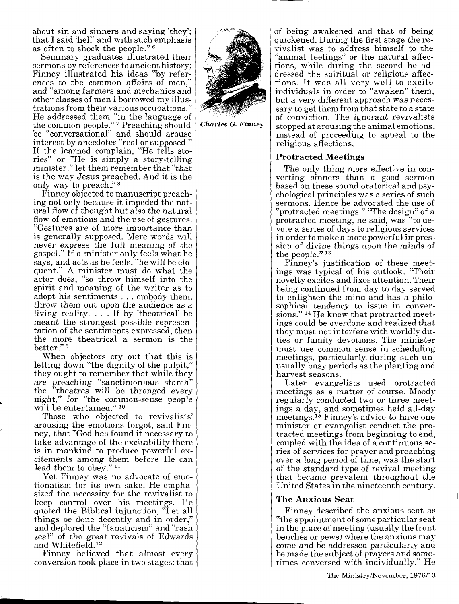about sin and sinners and saying 'they'; that I said 'hell' and with such emphasis as often to shock the people." <sup>6</sup>

Seminary graduates illustrated their sermons by references to ancient history; Finney illustrated his ideas "by refer ences to the common affairs of men," and "among farmers and mechanics and other classes of men I borrowed my illus trations from their various occupations." He addressed them "in the language of the common people." 7 Preaching should be "conversational" and should arouse interest by anecdotes "real or supposed." If the learned complain, "He tells sto ries" or "He is simply a story-telling minister," let them remember that "that is the way Jesus preached. And it is the only way to preach." 8

Finney objected to manuscript preach ing not only because it impeded the nat ural flow of thought but also the natural flow of emotions and the use of gestures. "Gestures are of more importance than is generally supposed. Mere words will never express the full meaning of the gospel." If a minister only feels what he says, and acts as he feels, "he will be eloquent." A minister must do what the actor does, "so throw himself into the spirit and meaning of the writer as to adopt his sentiments . . . embody them, throw them out upon the audience as a living reality. ... If by 'theatrical' be meant the strongest possible represen tation of the sentiments expressed, then the more theatrical a sermon is the better." <sup>9</sup>

When objectors cry out that this is letting down "the dignity of the pulpit," they ought to remember that while they are preaching "sanctimonious starch" the "theatres will be thronged every night," for "the common-sense people will be entertained."<sup>10</sup>

Those who objected to revivalists' arousing the emotions forgot, said Fin ney, that "God has found it necessary to take advantage of the excitability there is in mankind to produce powerful ex citements among them before He can lead them to obey." $11$ 

Yet Finney was no advocate of emo tionalism for its own sake. He empha sized the necessity for the revivalist to keep control over his meetings. He quoted the Biblical injunction, "Let all things be done decently and in order," and deplored the "fanaticism" and "rash zeal" of the great revivals of Edwards and Whitefield.<sup>12</sup>

Finney believed that almost every conversion took place in two stages: that



*Charles G. Finney*

of being awakened and that of being quickened. During the first stage the re vivalist was to address himself to the "animal feelings" or the natural affec tions, while during the second he ad dressed the spiritual or religious affec tions. It was all very well to excite individuals in order to "awaken" them, but a very different approach was neces sary to get them from that state to a state of conviction. The ignorant revivalists stopped at arousing the animal emotions, instead of proceeding to appeal to the religious affections.

## **Protracted Meetings**

The only thing more effective in con verting sinners than a good sermon based on these sound oratorical and psy chological principles was a series of such sermons. Hence he advocated the use of "protracted meetings." "The design" of a protracted meeting, he said, was "to de vote a series of days to religious services in order to make a more powerful impres sion of divine things upon the minds of the people." <sup>13</sup>

Finney's justification of these meet ings was typical of his outlook. "Their novelty excites and fixes attention. Their being continued from day to day served to enlighten the mind and has a philo sophical tendency to issue in conver sions." 14 He knew that protracted meet ings could be overdone and realized that they must not interfere with worldly du ties or family devotions. The minister must use common sense in scheduling meetings, particularly during such un usually busy periods as the planting and harvest seasons.

Later evangelists used protracted meetings as a matter of course. Moody regularly conducted two or three meet ings a day, and sometimes held all-day meetings. 15 Finney's advice to have one minister or evangelist conduct the pro tracted meetings from beginning to end, coupled with the idea of a continuous se ries of services for prayer and preaching over a long period of time, was the start of the standard type of revival meeting that became prevalent throughout the United States in the nineteenth century.

## **The Anxious Seat**

Finney described the anxious seat as "the appointment of some particular seat in the place of meeting (usually the front benches or pews) where the anxious may come and be addressed particularly and be made the subject of prayers and some times conversed with individually." He